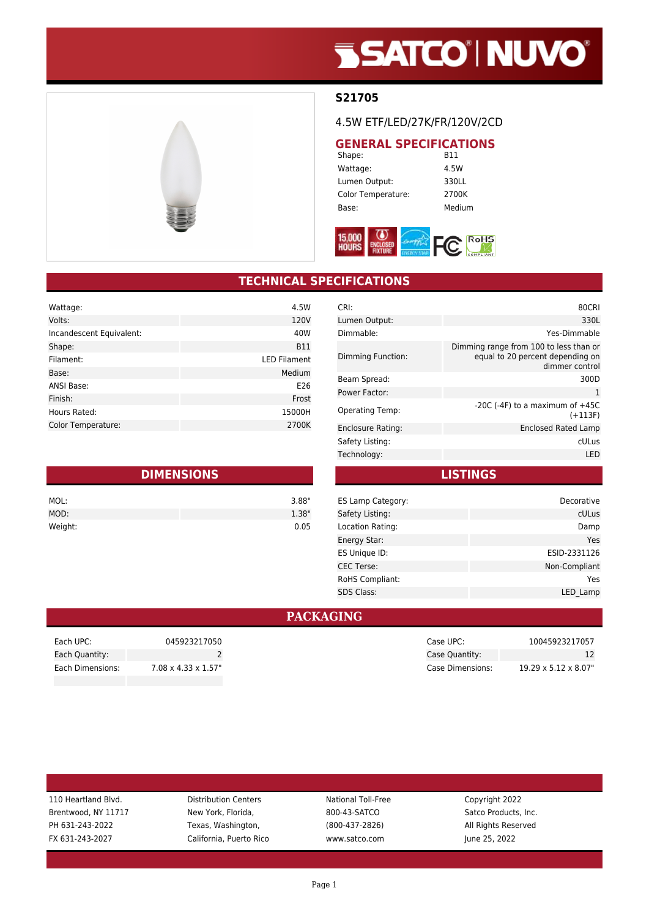# **SSATCO' NUVO'**



#### **S21705**

#### 4.5W ETF/LED/27K/FR/120V/2CD

## **GENERAL SPECIFICATIONS**<br>B11

Shape: Wattage: 4.5W Lumen Output: 330LL Color Temperature: 2700K Base: Medium



### **TECHNICAL SPECIFICATIONS**

| Wattage:                  | 4.5W                |
|---------------------------|---------------------|
| Volts:                    | 120V                |
| Incandescent Equivalent:  | 40W                 |
| Shape:                    | <b>B11</b>          |
| Filament:                 | <b>LED Filament</b> |
| Base:                     | Medium              |
| <b>ANSI Base:</b>         | E26                 |
| Finish:                   | Frost               |
| Hours Rated:              | 15000H              |
| <b>Color Temperature:</b> | 2700K               |

| <b>DIMENSIONS</b> |       |  |
|-------------------|-------|--|
| MOL:              | 3.88" |  |
| MOD:              | 1.38" |  |
| Weight:           | 0.05  |  |

| CRI:                   | 80CRI                                                                                        |
|------------------------|----------------------------------------------------------------------------------------------|
| Lumen Output:          | 330L                                                                                         |
| Dimmable:              | Yes-Dimmable                                                                                 |
| Dimming Function:      | Dimming range from 100 to less than or<br>equal to 20 percent depending on<br>dimmer control |
| Beam Spread:           | 300D                                                                                         |
| Power Factor:          | 1                                                                                            |
| <b>Operating Temp:</b> | $-20C$ ( $-4F$ ) to a maximum of $+45C$<br>$(+113F)$                                         |
| Enclosure Rating:      | Enclosed Rated Lamp                                                                          |
| Safety Listing:        | cULus                                                                                        |
| Technology:            | LED                                                                                          |

**LISTINGS**

| ES Lamp Category: | Decorative    |
|-------------------|---------------|
| Safety Listing:   | cULus         |
| Location Rating:  | Damp          |
| Energy Star:      | Yes           |
| ES Unique ID:     | ESID-2331126  |
| <b>CEC Terse:</b> | Non-Compliant |
| RoHS Compliant:   | Yes           |
| <b>SDS Class:</b> | LED Lamp      |
|                   |               |

#### **PACKAGING**

| Each UPC:        | 045923217050                     |
|------------------|----------------------------------|
| Each Quantity:   |                                  |
| Each Dimensions: | $7.08 \times 4.33 \times 1.57$ " |
|                  |                                  |

| 110 Heartland Blvd. | <b>Distribution Centers</b> | National Toll-Free | Copyright 2022       |
|---------------------|-----------------------------|--------------------|----------------------|
| Brentwood, NY 11717 | New York, Florida,          | 800-43-SATCO       | Satco Products, Inc. |
| PH 631-243-2022     | Texas, Washington,          | $(800-437-2826)$   | All Rights Reserved  |
| FX 631-243-2027     | California, Puerto Rico     | www.satco.com      | June 25, 2022        |
|                     |                             |                    |                      |